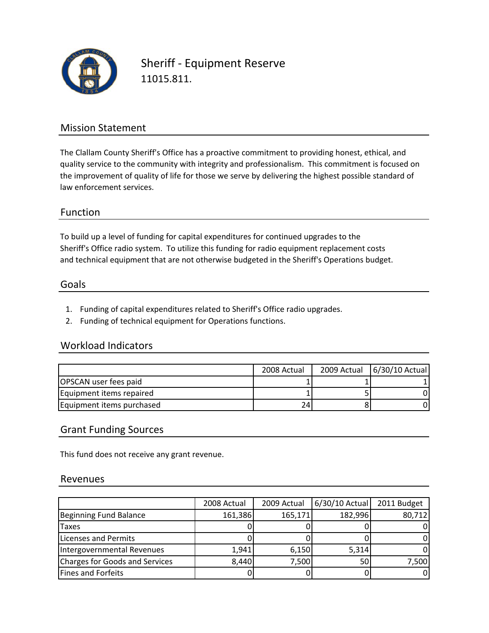

Sheriff ‐ Equipment Reserve 11015.811.

## Mission Statement

The Clallam County Sheriff's Office has a proactive commitment to providing honest, ethical, and quality service to the community with integrity and professionalism. This commitment is focused on the improvement of quality of life for those we serve by delivering the highest possible standard of law enforcement services.

## Function

To build up a level of funding for capital expenditures for continued upgrades to the and technical equipment that are not otherwise budgeted in the Sheriff's Operations budget. Sheriff's Office radio system. To utilize this funding for radio equipment replacement costs

### Goals

- 1. Funding of capital expenditures related to Sheriff's Office radio upgrades.
- 2. Funding of technical equipment for Operations functions.

#### Workload Indicators

|                           | 2008 Actual | 2009 Actual 6/30/10 Actual |
|---------------------------|-------------|----------------------------|
| OPSCAN user fees paid     |             |                            |
| Equipment items repaired  |             |                            |
| Equipment items purchased | ا 24        |                            |

## Grant Funding Sources

This fund does not receive any grant revenue.

#### Revenues

|                                | 2008 Actual | 2009 Actual | $6/30/10$ Actual | 2011 Budget |
|--------------------------------|-------------|-------------|------------------|-------------|
| Beginning Fund Balance         | 161,386     | 165,171     | 182,996          | 80,712      |
| <b>Taxes</b>                   |             |             |                  |             |
| Licenses and Permits           |             |             |                  |             |
| Intergovernmental Revenues     | 1,941       | 6,150       | 5,314            |             |
| Charges for Goods and Services | 8,440       | 7,500       | 50 <sub>1</sub>  | 7,500       |
| <b>Fines and Forfeits</b>      |             |             |                  |             |